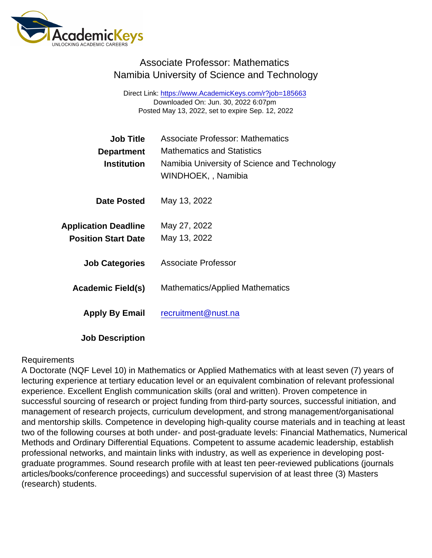## Associate Professor: Mathematics Namibia University of Science and Technology

Direct Link: <https://www.AcademicKeys.com/r?job=185663> Downloaded On: Jun. 30, 2022 6:07pm Posted May 13, 2022, set to expire Sep. 12, 2022

| Job Title                   | Associate Professor: Mathematics                                   |
|-----------------------------|--------------------------------------------------------------------|
| Department                  | <b>Mathematics and Statistics</b>                                  |
| Institution                 | Namibia University of Science and Technology<br>WINDHOEK,, Namibia |
| Date Posted                 | May 13, 2022                                                       |
| <b>Application Deadline</b> | May 27, 2022                                                       |
| <b>Position Start Date</b>  | May 13, 2022                                                       |
| <b>Job Categories</b>       | Associate Professor                                                |
| Academic Field(s)           | <b>Mathematics/Applied Mathematics</b>                             |
| Apply By Email              | recruitment@nust.na                                                |

Job Description

## Requirements

A Doctorate (NQF Level 10) in Mathematics or Applied Mathematics with at least seven (7) years of lecturing experience at tertiary education level or an equivalent combination of relevant professional experience. Excellent English communication skills (oral and written). Proven competence in successful sourcing of research or project funding from third-party sources, successful initiation, and management of research projects, curriculum development, and strong management/organisational and mentorship skills. Competence in developing high-quality course materials and in teaching at least two of the following courses at both under- and post-graduate levels: Financial Mathematics, Numerical Methods and Ordinary Differential Equations. Competent to assume academic leadership, establish professional networks, and maintain links with industry, as well as experience in developing postgraduate programmes. Sound research profile with at least ten peer-reviewed publications (journals articles/books/conference proceedings) and successful supervision of at least three (3) Masters (research) students.